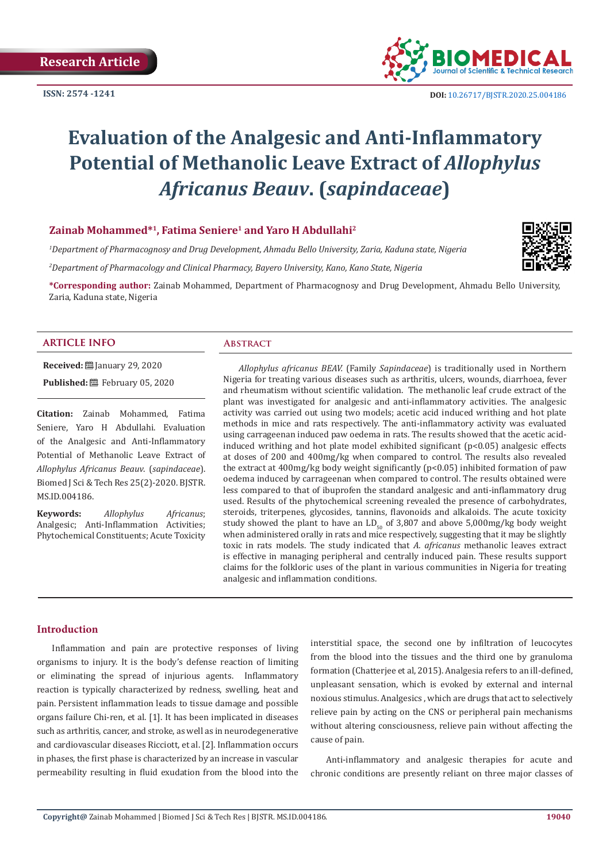

 **DOI:** [10.26717/BJSTR.2020.25.0041](http://dx.doi.org/10.26717/BJSTR.2020.25.004186)86

# **Evaluation of the Analgesic and Anti-Inflammatory Potential of Methanolic Leave Extract of** *Allophylus Africanus Beauv***. (***sapindaceae***)**

# **Zainab Mohammed\*<sup>1</sup>, Fatima Seniere1 and Yaro H Abdullahi2**

*1 Department of Pharmacognosy and Drug Development, Ahmadu Bello University, Zaria, Kaduna state, Nigeria*

*2 Department of Pharmacology and Clinical Pharmacy, Bayero University, Kano, Kano State, Nigeria*

**\*Corresponding author:** Zainab Mohammed, Department of Pharmacognosy and Drug Development, Ahmadu Bello University, Zaria, Kaduna state, Nigeria

# **ARTICLE INFO Abstract**

**Received:** ■ January 29, 2020

Published: **■**February 05, 2020

**Citation:** Zainab Mohammed, Fatima Seniere, Yaro H Abdullahi. Evaluation of the Analgesic and Anti-Inflammatory Potential of Methanolic Leave Extract of *Allophylus Africanus Beauv*. (*sapindaceae*). Biomed J Sci & Tech Res 25(2)-2020. BJSTR. MS.ID.004186.

**Keywords:** *Allophylus Africanus*; Analgesic; Anti-Inflammation Activities; Phytochemical Constituents; Acute Toxicity

*Allophylus africanus BEAV.* (Family *Sapindaceae*) is traditionally used in Northern Nigeria for treating various diseases such as arthritis, ulcers, wounds, diarrhoea, fever and rheumatism without scientific validation. The methanolic leaf crude extract of the plant was investigated for analgesic and anti-inflammatory activities. The analgesic activity was carried out using two models; acetic acid induced writhing and hot plate methods in mice and rats respectively. The anti-inflammatory activity was evaluated using carrageenan induced paw oedema in rats. The results showed that the acetic acidinduced writhing and hot plate model exhibited significant  $(p<0.05)$  analgesic effects at doses of 200 and 400mg/kg when compared to control. The results also revealed the extract at 400mg/kg body weight significantly (p<0.05) inhibited formation of paw oedema induced by carrageenan when compared to control. The results obtained were less compared to that of ibuprofen the standard analgesic and anti-inflammatory drug used. Results of the phytochemical screening revealed the presence of carbohydrates, steroids, triterpenes, glycosides, tannins, flavonoids and alkaloids. The acute toxicity study showed the plant to have an  $LD_{50}$  of 3,807 and above 5,000mg/kg body weight when administered orally in rats and mice respectively, suggesting that it may be slightly toxic in rats models. The study indicated that *A. africanus* methanolic leaves extract is effective in managing peripheral and centrally induced pain. These results support claims for the folkloric uses of the plant in various communities in Nigeria for treating analgesic and inflammation conditions.

#### **Introduction**

Inflammation and pain are protective responses of living organisms to injury. It is the body's defense reaction of limiting or eliminating the spread of injurious agents. Inflammatory reaction is typically characterized by redness, swelling, heat and pain. Persistent inflammation leads to tissue damage and possible organs failure Chi-ren, et al. [1]. It has been implicated in diseases such as arthritis, cancer, and stroke, as well as in neurodegenerative and cardiovascular diseases Ricciott, et al. [2]. Inflammation occurs in phases, the first phase is characterized by an increase in vascular permeability resulting in fluid exudation from the blood into the interstitial space, the second one by infiltration of leucocytes from the blood into the tissues and the third one by granuloma formation (Chatterjee et al, 2015). Analgesia refers to an ill-defined, unpleasant sensation, which is evoked by external and internal noxious stimulus. Analgesics , which are drugs that act to selectively relieve pain by acting on the CNS or peripheral pain mechanisms without altering consciousness, relieve pain without affecting the cause of pain.

Anti-inflammatory and analgesic therapies for acute and chronic conditions are presently reliant on three major classes of

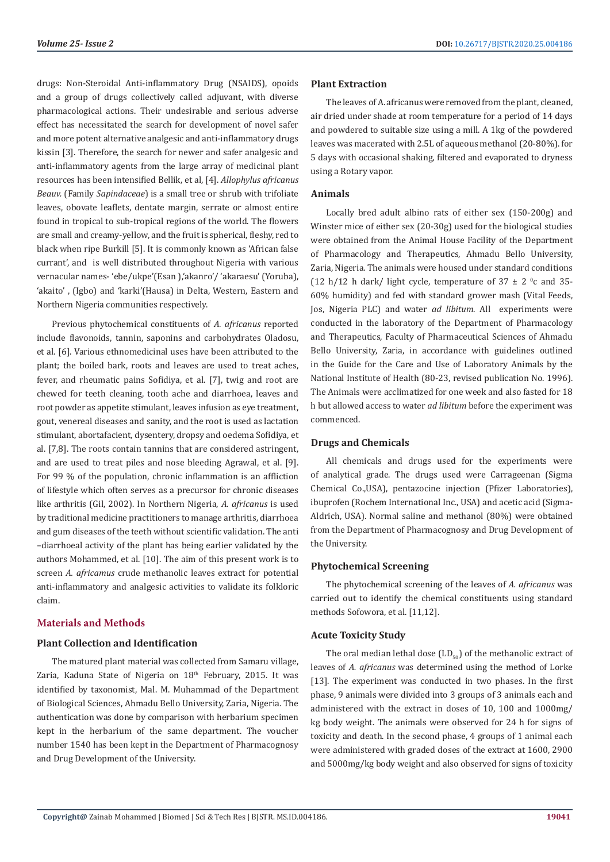drugs: Non-Steroidal Anti-inflammatory Drug (NSAIDS), opoids and a group of drugs collectively called adjuvant, with diverse pharmacological actions. Their undesirable and serious adverse effect has necessitated the search for development of novel safer and more potent alternative analgesic and anti-inflammatory drugs kissin [3]. Therefore, the search for newer and safer analgesic and anti-inflammatory agents from the large array of medicinal plant resources has been intensified Bellik, et al, [4]. *Allophylus africanus Beauv.* (Family *Sapindaceae*) is a small tree or shrub with trifoliate leaves, obovate leaflets, dentate margin, serrate or almost entire found in tropical to sub-tropical regions of the world. The flowers are small and creamy-yellow, and the fruit is spherical, fleshy, red to black when ripe Burkill [5]. It is commonly known as 'African false currant', and is well distributed throughout Nigeria with various vernacular names- 'ebe/ukpe'(Esan ),'akanro'/ 'akaraesu' (Yoruba), 'akaito' , (Igbo) and 'karki'(Hausa) in Delta, Western, Eastern and Northern Nigeria communities respectively.

Previous phytochemical constituents of *A. africanus* reported include flavonoids, tannin, saponins and carbohydrates Oladosu, et al. [6]. Various ethnomedicinal uses have been attributed to the plant; the boiled bark, roots and leaves are used to treat aches, fever, and rheumatic pains Sofidiya, et al. [7], twig and root are chewed for teeth cleaning, tooth ache and diarrhoea, leaves and root powder as appetite stimulant, leaves infusion as eye treatment, gout, venereal diseases and sanity, and the root is used as lactation stimulant, abortafacient, dysentery, dropsy and oedema Sofidiya, et al. [7,8]. The roots contain tannins that are considered astringent, and are used to treat piles and nose bleeding Agrawal, et al. [9]. For 99 % of the population, chronic inflammation is an affliction of lifestyle which often serves as a precursor for chronic diseases like arthritis (Gil, 2002). In Northern Nigeria, *A. africanus* is used by traditional medicine practitioners to manage arthritis, diarrhoea and gum diseases of the teeth without scientific validation. The anti –diarrhoeal activity of the plant has being earlier validated by the authors Mohammed, et al. [10]. The aim of this present work is to screen *A. africamus* crude methanolic leaves extract for potential anti-inflammatory and analgesic activities to validate its folkloric claim.

# **Materials and Methods**

# **Plant Collection and Identification**

The matured plant material was collected from Samaru village, Zaria, Kaduna State of Nigeria on 18<sup>th</sup> February, 2015. It was identified by taxonomist, Mal. M. Muhammad of the Department of Biological Sciences, Ahmadu Bello University, Zaria, Nigeria. The authentication was done by comparison with herbarium specimen kept in the herbarium of the same department. The voucher number 1540 has been kept in the Department of Pharmacognosy and Drug Development of the University.

# **Plant Extraction**

The leaves of A. africanus were removed from the plant, cleaned, air dried under shade at room temperature for a period of 14 days and powdered to suitable size using a mill. A 1kg of the powdered leaves was macerated with 2.5L of aqueous methanol (20-80%). for 5 days with occasional shaking, filtered and evaporated to dryness using a Rotary vapor.

# **Animals**

Locally bred adult albino rats of either sex (150-200g) and Winster mice of either sex (20-30g) used for the biological studies were obtained from the Animal House Facility of the Department of Pharmacology and Therapeutics, Ahmadu Bello University, Zaria, Nigeria. The animals were housed under standard conditions  $(12 h/12 h$  dark/ light cycle, temperature of  $37 \pm 2$  °c and 35-60% humidity) and fed with standard grower mash (Vital Feeds, Jos, Nigeria PLC) and water *ad libitum*. All experiments were conducted in the laboratory of the Department of Pharmacology and Therapeutics, Faculty of Pharmaceutical Sciences of Ahmadu Bello University, Zaria, in accordance with guidelines outlined in the Guide for the Care and Use of Laboratory Animals by the National Institute of Health (80-23, revised publication No. 1996). The Animals were acclimatized for one week and also fasted for 18 h but allowed access to water *ad libitum* before the experiment was commenced.

# **Drugs and Chemicals**

All chemicals and drugs used for the experiments were of analytical grade. The drugs used were Carrageenan (Sigma Chemical Co.,USA), pentazocine injection (Pfizer Laboratories), ibuprofen (Rochem International Inc., USA) and acetic acid (Sigma-Aldrich, USA). Normal saline and methanol (80%) were obtained from the Department of Pharmacognosy and Drug Development of the University.

# **Phytochemical Screening**

The phytochemical screening of the leaves of *A. africanus* was carried out to identify the chemical constituents using standard methods Sofowora, et al. [11,12].

#### **Acute Toxicity Study**

The oral median lethal dose  $(LD_{50})$  of the methanolic extract of leaves of *A. africanus* was determined using the method of Lorke [13]. The experiment was conducted in two phases. In the first phase, 9 animals were divided into 3 groups of 3 animals each and administered with the extract in doses of 10, 100 and 1000mg/ kg body weight. The animals were observed for 24 h for signs of toxicity and death. In the second phase, 4 groups of 1 animal each were administered with graded doses of the extract at 1600, 2900 and 5000mg/kg body weight and also observed for signs of toxicity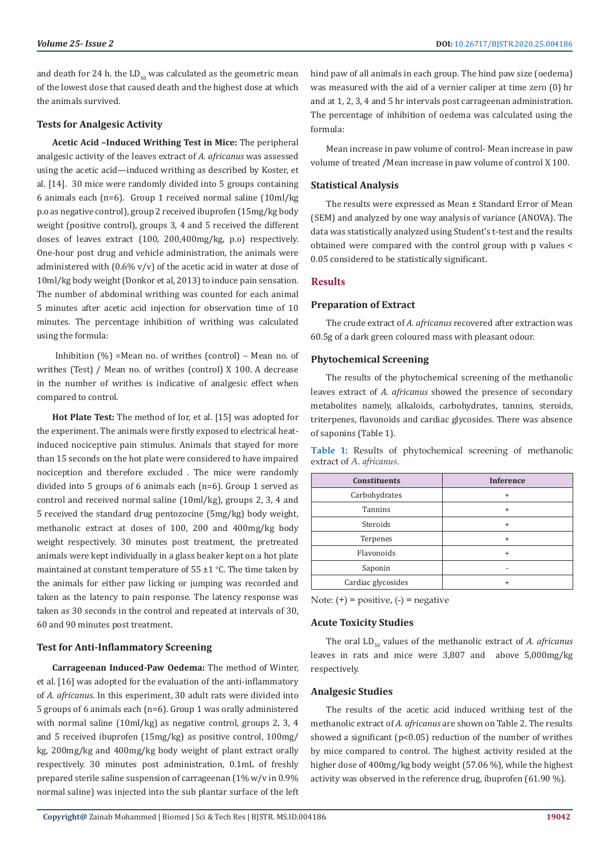and death for 24 h. the  $LD_{50}$  was calculated as the geometric mean of the lowest dose that caused death and the highest dose at which the animals survived.

#### **Tests for Analgesic Activity**

**Acetic Acid –Induced Writhing Test in Mice:** The peripheral analgesic activity of the leaves extract of *A. africanus* was assessed using the acetic acid—induced writhing as described by Koster, et al. [14]. 30 mice were randomly divided into 5 groups containing 6 animals each (n=6). Group 1 received normal saline (10ml/kg p.o as negative control), group 2 received ibuprofen (15mg/kg body weight (positive control), groups 3, 4 and 5 received the different doses of leaves extract (100, 200,400mg/kg, p.o) respectively. One-hour post drug and vehicle administration, the animals were administered with (0.6% v/v) of the acetic acid in water at dose of 10ml/kg body weight (Donkor et al, 2013) to induce pain sensation. The number of abdominal writhing was counted for each animal 5 minutes after acetic acid injection for observation time of 10 minutes. The percentage inhibition of writhing was calculated using the formula:

 Inhibition (%) =Mean no. of writhes (control) – Mean no. of writhes (Test) / Mean no. of writhes (control) X 100. A decrease in the number of writhes is indicative of analgesic effect when compared to control.

**Hot Plate Test:** The method of Ior, et al. [15] was adopted for the experiment. The animals were firstly exposed to electrical heatinduced nociceptive pain stimulus. Animals that stayed for more than 15 seconds on the hot plate were considered to have impaired nociception and therefore excluded . The mice were randomly divided into 5 groups of 6 animals each (n=6). Group 1 served as control and received normal saline (10ml/kg), groups 2, 3, 4 and 5 received the standard drug pentozocine (5mg/kg) body weight, methanolic extract at doses of 100, 200 and 400mg/kg body weight respectively. 30 minutes post treatment, the pretreated animals were kept individually in a glass beaker kept on a hot plate maintained at constant temperature of  $55 \pm 1$  °C. The time taken by the animals for either paw licking or jumping was recorded and taken as the latency to pain response. The latency response was taken as 30 seconds in the control and repeated at intervals of 30, 60 and 90 minutes post treatment.

#### **Test for Anti-Inflammatory Screening**

**Carrageenan Induced-Paw Oedema:** The method of Winter, et al. [16] was adopted for the evaluation of the anti-inflammatory of *A. africanus*. In this experiment, 30 adult rats were divided into 5 groups of 6 animals each (n=6). Group 1 was orally administered with normal saline (10ml/kg) as negative control, groups 2, 3, 4 and 5 received ibuprofen (15mg/kg) as positive control, 100mg/ kg, 200mg/kg and 400mg/kg body weight of plant extract orally respectively. 30 minutes post administration, 0.1mL of freshly prepared sterile saline suspension of carrageenan (1% w/v in 0.9% normal saline) was injected into the sub plantar surface of the left hind paw of all animals in each group. The hind paw size (oedema) was measured with the aid of a vernier caliper at time zero (0) hr and at 1, 2, 3, 4 and 5 hr intervals post carrageenan administration. The percentage of inhibition of oedema was calculated using the formula:

Mean increase in paw volume of control- Mean increase in paw volume of treated /Mean increase in paw volume of control X 100.

#### **Statistical Analysis**

The results were expressed as Mean ± Standard Error of Mean (SEM) and analyzed by one way analysis of variance (ANOVA). The data was statistically analyzed using Student's t-test and the results obtained were compared with the control group with p values < 0.05 considered to be statistically significant.

#### **Results**

#### **Preparation of Extract**

The crude extract of *A. africanus* recovered after extraction was 60.5g of a dark green coloured mass with pleasant odour.

#### **Phytochemical Screening**

The results of the phytochemical screening of the methanolic leaves extract of *A. africanus* showed the presence of secondary metabolites namely, alkaloids, carbohydrates, tannins, steroids, triterpenes, flavonoids and cardiac glycosides. There was absence of saponins (Table 1).

**Table 1:** Results of phytochemical screening of methanolic extract of *A. africanus*.

| <b>Constituents</b> | <b>Inference</b> |  |  |
|---------------------|------------------|--|--|
| Carbohydrates       | $\ddot{}$        |  |  |
| <b>Tannins</b>      | $\ddot{}$        |  |  |
| Steroids            | $\ddot{}$        |  |  |
| Terpenes            | $\ddot{}$        |  |  |
| Flavonoids          | $\ddot{}$        |  |  |
| Saponin             |                  |  |  |
| Cardiac glycosides  | $\ddot{}$        |  |  |

Note:  $(+)$  = positive,  $(-)$  = negative

#### **Acute Toxicity Studies**

The oral LD<sub>50</sub> values of the methanolic extract of *A. africanus* leaves in rats and mice were 3,807 and above 5,000mg/kg respectively.

### **Analgesic Studies**

The results of the acetic acid induced writhing test of the methanolic extract of *A. africanus* are shown on Table 2. The results showed a significant ( $p$ <0.05) reduction of the number of writhes by mice compared to control. The highest activity resided at the higher dose of 400mg/kg body weight (57.06 %), while the highest activity was observed in the reference drug, ibuprofen (61.90 %).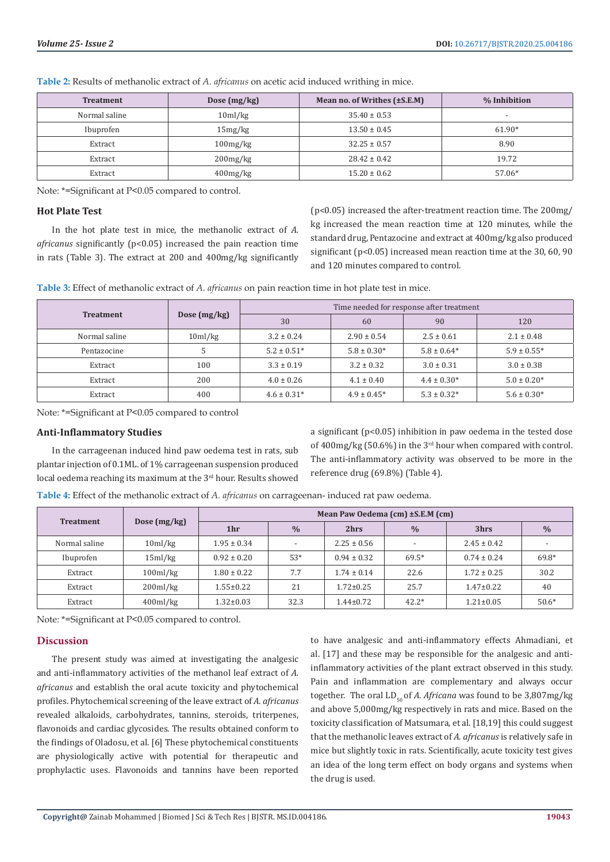| <b>Treatment</b>       | Dose $(mg/kg)$      | Mean no. of Writhes $(\pm S.E.M)$ | % Inhibition             |  |
|------------------------|---------------------|-----------------------------------|--------------------------|--|
| Normal saline          | 10 <sub>ml/kg</sub> | $35.40 \pm 0.53$                  | $\overline{\phantom{a}}$ |  |
| Ibuprofen              | 15mg/kg             | $13.50 \pm 0.45$                  | 61.90*                   |  |
| Extract                | 100mg/kg            | $32.25 \pm 0.57$                  | 8.90                     |  |
| Extract                | $200$ mg/ $kg$      | $28.42 \pm 0.42$                  | 19.72                    |  |
| $400$ mg/kg<br>Extract |                     | $15.20 \pm 0.62$                  | 57.06*                   |  |

**Table 2:** Results of methanolic extract of *A. africanus* on acetic acid induced writhing in mice.

Note: \*=Significant at P<0.05 compared to control.

#### **Hot Plate Test**

In the hot plate test in mice, the methanolic extract of *A. africanus* significantly (p<0.05) increased the pain reaction time in rats (Table 3). The extract at 200 and 400mg/kg significantly (p<0.05) increased the after-treatment reaction time. The 200mg/ kg increased the mean reaction time at 120 minutes, while the standard drug, Pentazocine and extract at 400mg/kg also produced significant (p<0.05) increased mean reaction time at the 30, 60, 90 and 120 minutes compared to control.

**Table 3:** Effect of methanolic extract of *A. africanus* on pain reaction time in hot plate test in mice.

| <b>Treatment</b> | Dose $(mg/kg)$ | Time needed for response after treatment |                  |                 |                 |  |
|------------------|----------------|------------------------------------------|------------------|-----------------|-----------------|--|
|                  |                | 30                                       | 60               | 90              | 120             |  |
| Normal saline    | 10ml/kg        | $3.2 \pm 0.24$                           | $2.90 \pm 0.54$  | $2.5 \pm 0.61$  | $2.1 \pm 0.48$  |  |
| Pentazocine      |                | $5.2 \pm 0.51*$                          | $5.8 \pm 0.30*$  | $5.8 \pm 0.64*$ | $5.9 \pm 0.55*$ |  |
| Extract          | 100            | $3.3 \pm 0.19$                           | $3.2 \pm 0.32$   | $3.0 \pm 0.31$  | $3.0 \pm 0.38$  |  |
| Extract          | 200            | $4.0 \pm 0.26$                           | $4.1 \pm 0.40$   | $4.4 \pm 0.30*$ | $5.0 \pm 0.20*$ |  |
| Extract          | 400            | $4.6 \pm 0.31*$                          | $4.9 \pm 0.45^*$ | $5.3 \pm 0.32*$ | $5.6 \pm 0.30*$ |  |

Note: \*=Significant at P<0.05 compared to control

#### **Anti-Inflammatory Studies**

In the carrageenan induced hind paw oedema test in rats, sub plantar injection of 0.1ML. of 1% carrageenan suspension produced local oedema reaching its maximum at the 3<sup>rd</sup> hour. Results showed a significant (p<0.05) inhibition in paw oedema in the tested dose of 400mg/kg (50.6%) in the 3rd hour when compared with control. The anti-inflammatory activity was observed to be more in the reference drug (69.8%) (Table 4).

**Table 4:** Effect of the methanolic extract of *A. africanus* on carrageenan- induced rat paw oedema.

| <b>Treatment</b> | Dose $(mg/kg)$ | Mean Paw Oedema (cm) ± S.E.M (cm) |                          |                 |               |                 |               |
|------------------|----------------|-----------------------------------|--------------------------|-----------------|---------------|-----------------|---------------|
|                  |                | 1hr                               | $\frac{0}{0}$            | 2hrs            | $\frac{0}{0}$ | 3hrs            | $\frac{0}{0}$ |
| Normal saline    | 10ml/kg        | $1.95 \pm 0.34$                   | $\overline{\phantom{a}}$ | $2.25 \pm 0.56$ |               | $2.45 \pm 0.42$ |               |
| Ibuprofen        | 15ml/kg        | $0.92 \pm 0.20$                   | $53*$                    | $0.94 \pm 0.32$ | $69.5*$       | $0.74 \pm 0.24$ | 69.8*         |
| Extract          | $100$ ml/kg    | $1.80 \pm 0.22$                   | 7.7                      | $1.74 \pm 0.14$ | 22.6          | $1.72 \pm 0.25$ | 30.2          |
| Extract          | $200$ ml/kg    | $1.55 \pm 0.22$                   | 21                       | $1.72 \pm 0.25$ | 25.7          | $1.47\pm0.22$   | 40            |
| Extract          | $400$ ml/kg    | $1.32 \pm 0.03$                   | 32.3                     | $1.44 \pm 0.72$ | $42.2*$       | $1.21 \pm 0.05$ | $50.6*$       |

Note: \*=Significant at P<0.05 compared to control.

# **Discussion**

The present study was aimed at investigating the analgesic and anti-inflammatory activities of the methanol leaf extract of *A. africanus* and establish the oral acute toxicity and phytochemical profiles. Phytochemical screening of the leave extract of *A. africanus* revealed alkaloids, carbohydrates, tannins, steroids, triterpenes, flavonoids and cardiac glycosides. The results obtained conform to the findings of Oladosu, et al. [6] These phytochemical constituents are physiologically active with potential for therapeutic and prophylactic uses. Flavonoids and tannins have been reported

to have analgesic and anti-inflammatory effects Ahmadiani, et al. [17] and these may be responsible for the analgesic and antiinflammatory activities of the plant extract observed in this study. Pain and inflammation are complementary and always occur together. The oral LD<sub>50</sub> of *A. Africana* was found to be 3,807mg/kg and above 5,000mg/kg respectively in rats and mice. Based on the toxicity classification of Matsumara, et al. [18,19] this could suggest that the methanolic leaves extract of *A. africanus* is relatively safe in mice but slightly toxic in rats. Scientifically, acute toxicity test gives an idea of the long term effect on body organs and systems when the drug is used.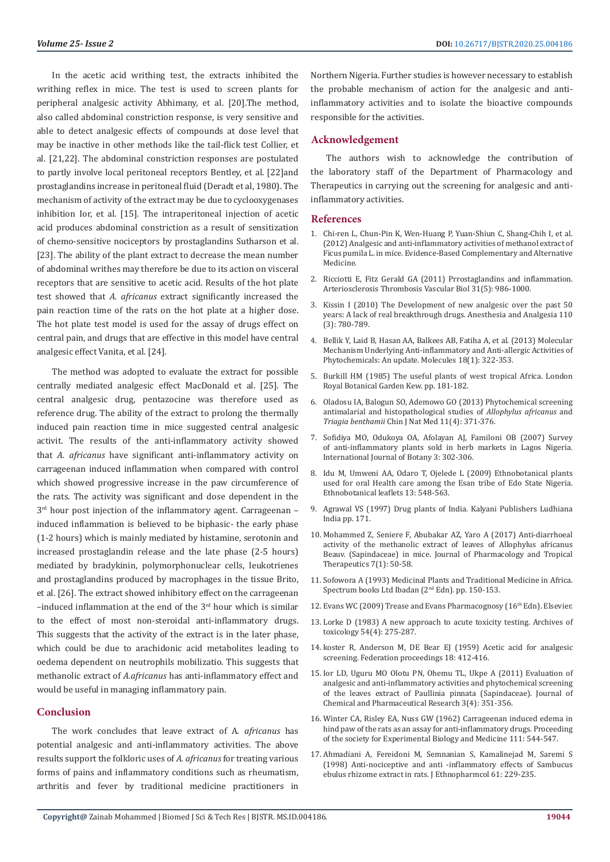In the acetic acid writhing test, the extracts inhibited the writhing reflex in mice. The test is used to screen plants for peripheral analgesic activity Abhimany, et al. [20].The method, also called abdominal constriction response, is very sensitive and able to detect analgesic effects of compounds at dose level that may be inactive in other methods like the tail-flick test Collier, et al. [21,22]. The abdominal constriction responses are postulated to partly involve local peritoneal receptors Bentley, et al. [22]and prostaglandins increase in peritoneal fluid (Deradt et al, 1980). The mechanism of activity of the extract may be due to cyclooxygenases inhibition Ior, et al. [15]. The intraperitoneal injection of acetic acid produces abdominal constriction as a result of sensitization of chemo-sensitive nociceptors by prostaglandins Sutharson et al. [23]. The ability of the plant extract to decrease the mean number of abdominal writhes may therefore be due to its action on visceral receptors that are sensitive to acetic acid. Results of the hot plate test showed that *A. africanus* extract significantly increased the pain reaction time of the rats on the hot plate at a higher dose. The hot plate test model is used for the assay of drugs effect on central pain, and drugs that are effective in this model have central analgesic effect Vanita, et al. [24].

The method was adopted to evaluate the extract for possible centrally mediated analgesic effect MacDonald et al. [25]. The central analgesic drug, pentazocine was therefore used as reference drug. The ability of the extract to prolong the thermally induced pain reaction time in mice suggested central analgesic activit. The results of the anti-inflammatory activity showed that *A. africanus* have significant anti-inflammatory activity on carrageenan induced inflammation when compared with control which showed progressive increase in the paw circumference of the rats. The activity was significant and dose dependent in the 3<sup>rd</sup> hour post injection of the inflammatory agent. Carrageenan induced inflammation is believed to be biphasic- the early phase (1-2 hours) which is mainly mediated by histamine, serotonin and increased prostaglandin release and the late phase (2-5 hours) mediated by bradykinin, polymorphonuclear cells, leukotrienes and prostaglandins produced by macrophages in the tissue Brito, et al. [26]. The extract showed inhibitory effect on the carrageenan  $-$ induced inflammation at the end of the  $3<sup>rd</sup>$  hour which is similar to the effect of most non-steroidal anti-inflammatory drugs. This suggests that the activity of the extract is in the later phase, which could be due to arachidonic acid metabolites leading to oedema dependent on neutrophils mobilizatio. This suggests that methanolic extract of *A.africanus* has anti-inflammatory effect and would be useful in managing inflammatory pain.

### **Conclusion**

The work concludes that leave extract of A*. africanus* has potential analgesic and anti-inflammatory activities. The above results support the folkloric uses of *A. africanus* for treating various forms of pains and inflammatory conditions such as rheumatism, arthritis and fever by traditional medicine practitioners in

Northern Nigeria. Further studies is however necessary to establish the probable mechanism of action for the analgesic and antiinflammatory activities and to isolate the bioactive compounds responsible for the activities.

#### **Acknowledgement**

The authors wish to acknowledge the contribution of the laboratory staff of the Department of Pharmacology and Therapeutics in carrying out the screening for analgesic and antiinflammatory activities.

# **References**

- 1. [Chi-ren L, Chun-Pin K, Wen-Huang P, Yuan-Shiun C, Shang-Chih I, et al.](https://www.hindawi.com/journals/ecam/2012/340141/) [\(2012\) Analgesic and anti-inflammatory activities of methanol extract of](https://www.hindawi.com/journals/ecam/2012/340141/) [Ficus pumila L. in mice. Evidence-Based Complementary and Alternative](https://www.hindawi.com/journals/ecam/2012/340141/) [Medicine.](https://www.hindawi.com/journals/ecam/2012/340141/)
- 2. [Ricciotti E, Fitz Gerald GA \(2011\) Prrostaglandins and inflammation.](https://www.ncbi.nlm.nih.gov/pubmed/21508345) [Arteriosclerosis Thrombosis Vascular Biol 31\(5\): 986-1000.](https://www.ncbi.nlm.nih.gov/pubmed/21508345)
- 3. [Kissin I \(2010\) The Development of new analgesic over the past 50](https://www.ncbi.nlm.nih.gov/pubmed/20185657) [years: A lack of real breakthrough drugs. Anesthesia and Analgesia 110](https://www.ncbi.nlm.nih.gov/pubmed/20185657) [\(3\): 780-789.](https://www.ncbi.nlm.nih.gov/pubmed/20185657)
- 4. [Bellik Y, Laid B, Hasan AA, Balkees AB, Fatiha A, et al. \(2013\) Molecular](https://www.ncbi.nlm.nih.gov/pubmed/23271469) [Mechanism Underlying Anti-inflammatory and Anti-allergic Activities of](https://www.ncbi.nlm.nih.gov/pubmed/23271469) [Phytochemicals: An update. Molecules 18\(1\): 322-353.](https://www.ncbi.nlm.nih.gov/pubmed/23271469)
- 5. [Burkill HM \(1985\) The useful plants of west tropical Africa. London](https://books.google.co.in/books/about/The_Useful_Plants_of_West_Tropical_Afric.html?id=dLH4oQEACAAJ&redir_esc=y) [Royal Botanical Garden Kew. pp. 181-182.](https://books.google.co.in/books/about/The_Useful_Plants_of_West_Tropical_Afric.html?id=dLH4oQEACAAJ&redir_esc=y)
- 6. [Oladosu IA, Balogun SO, Ademowo GO \(2013\) Phytochemical screening](https://www.ncbi.nlm.nih.gov/pubmed/23845545) [antimalarial and histopathological studies of](https://www.ncbi.nlm.nih.gov/pubmed/23845545) *Allophylus africanus* and *Triagia benthamii* [Chin J Nat Med 11\(4\): 371-376.](https://www.ncbi.nlm.nih.gov/pubmed/23845545)
- 7. [Sofidiya MO, Odukoya OA, Afolayan AJ, Familoni OB \(2007\) Survey](https://scialert.net/fulltextmobile/?doi=ijb.2007.302.306) [of anti-inflammatory plants sold in herb markets in Lagos Nigeria.](https://scialert.net/fulltextmobile/?doi=ijb.2007.302.306) [International Journal of Botany 3: 302-306.](https://scialert.net/fulltextmobile/?doi=ijb.2007.302.306)
- 8. [Idu M, Umweni AA, Odaro T, Ojelede L \(2009\) Ethnobotanical plants](https://opensiuc.lib.siu.edu/ebl/vol2009/iss4/15/) [used for oral Health care among the Esan tribe of Edo State Nigeria.](https://opensiuc.lib.siu.edu/ebl/vol2009/iss4/15/) [Ethnobotanical leaflets 13: 548-563.](https://opensiuc.lib.siu.edu/ebl/vol2009/iss4/15/)
- 9. Agrawal VS (1997) Drug plants of India. Kalyani Publishers Ludhiana India pp. 171.
- 10. Mohammed Z, Seniere F, Abubakar AZ, Yaro A (2017) Anti-diarrhoeal activity of the methanolic extract of leaves of Allophylus africanus Beauv. (Sapindaceae) in mice. Journal of Pharmacology and Tropical Therapeutics 7(1): 50-58.
- 11. Sofowora A (1993) Medicinal Plants and Traditional Medicine in Africa. Spectrum books Ltd Ibadan (2<sup>nd</sup> Edn). pp. 150-153.
- 12. Evans WC (2009) Trease and Evans Pharmacognosy (16<sup>th</sup> Edn). Elsevier.
- 13. [Lorke D \(1983\) A new approach to acute toxicity testing. Archives of](https://www.ncbi.nlm.nih.gov/pubmed/6667118) [toxicology 54\(4\): 275-287.](https://www.ncbi.nlm.nih.gov/pubmed/6667118)
- 14. [koster R, Anderson M, DE Bear EJ \(1959\) Acetic acid for analgesic](https://www.scirp.org/(S(351jmbntvnsjt1aadkposzje))/reference/ReferencesPapers.aspx?ReferenceID=1622212) [screening. Federation proceedings 18: 412-416.](https://www.scirp.org/(S(351jmbntvnsjt1aadkposzje))/reference/ReferencesPapers.aspx?ReferenceID=1622212)
- 15. [Ior LD, Uguru MO Olotu PN, Ohemu TL, Ukpe A \(2011\) Evaluation of](https://www.researchgate.net/publication/290078625_Evaluation_of_analgesic_and_anti-inflammatory_activities_and_phytochemical_screening_of_the_leaves_extract_of_paullinia_pinnata_Sapindaceae) [analgesic and anti-inflammatory activities and phytochemical screening](https://www.researchgate.net/publication/290078625_Evaluation_of_analgesic_and_anti-inflammatory_activities_and_phytochemical_screening_of_the_leaves_extract_of_paullinia_pinnata_Sapindaceae) [of the leaves extract of Paullinia pinnata \(Sapindaceae\). Journal of](https://www.researchgate.net/publication/290078625_Evaluation_of_analgesic_and_anti-inflammatory_activities_and_phytochemical_screening_of_the_leaves_extract_of_paullinia_pinnata_Sapindaceae) [Chemical and Pharmaceutical Research 3\(4\): 351-356.](https://www.researchgate.net/publication/290078625_Evaluation_of_analgesic_and_anti-inflammatory_activities_and_phytochemical_screening_of_the_leaves_extract_of_paullinia_pinnata_Sapindaceae)
- 16. [Winter CA, Risley EA, Nuss GW \(1962\) Carrageenan induced edema in](https://journals.sagepub.com/doi/abs/10.3181/00379727-111-27849) [hind paw of the rats as an assay for anti-inflammatory drugs. Proceeding](https://journals.sagepub.com/doi/abs/10.3181/00379727-111-27849) [of the society for Experimental Biology and Medicine 111: 544-547.](https://journals.sagepub.com/doi/abs/10.3181/00379727-111-27849)
- 17. Ahmadiani A, Fereidoni M, Semnanian S, Kamalinejad M, Saremi S (1998) Anti-nociceptive and anti -inflammatory effects of Sambucus ebulus rhizome extract in rats. J Ethnopharmcol 61: 229-235.